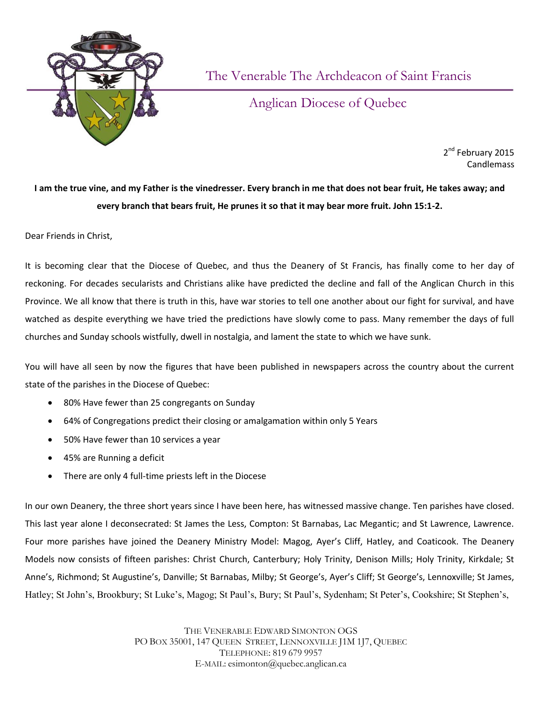

The Venerable The Archdeacon of Saint Francis

Anglican Diocese of Quebec

2<sup>nd</sup> February 2015 **Candlemass** 

## **I am the true vine, and my Father is the vinedresser. Every branch in me that does not bear fruit, He takes away; and every branch that bears fruit, He prunes it so that it may bear more fruit. John 15:1-2.**

Dear Friends in Christ,

It is becoming clear that the Diocese of Quebec, and thus the Deanery of St Francis, has finally come to her day of reckoning. For decades secularists and Christians alike have predicted the decline and fall of the Anglican Church in this Province. We all know that there is truth in this, have war stories to tell one another about our fight for survival, and have watched as despite everything we have tried the predictions have slowly come to pass. Many remember the days of full churches and Sunday schools wistfully, dwell in nostalgia, and lament the state to which we have sunk.

You will have all seen by now the figures that have been published in newspapers across the country about the current state of the parishes in the Diocese of Quebec:

- 80% Have fewer than 25 congregants on Sunday
- 64% of Congregations predict their closing or amalgamation within only 5 Years
- 50% Have fewer than 10 services a year
- 45% are Running a deficit
- There are only 4 full-time priests left in the Diocese

In our own Deanery, the three short years since I have been here, has witnessed massive change. Ten parishes have closed. This last year alone I deconsecrated: St James the Less, Compton: St Barnabas, Lac Megantic; and St Lawrence, Lawrence. Four more parishes have joined the Deanery Ministry Model: Magog, Ayer's Cliff, Hatley, and Coaticook. The Deanery Models now consists of fifteen parishes: Christ Church, Canterbury; Holy Trinity, Denison Mills; Holy Trinity, Kirkdale; St Anne's, Richmond; St Augustine's, Danville; St Barnabas, Milby; St George's, Ayer's Cliff; St George's, Lennoxville; St James, Hatley; St John's, Brookbury; St Luke's, Magog; St Paul's, Bury; St Paul's, Sydenham; St Peter's, Cookshire; St Stephen's,

> THE VENERABLE EDWARD SIMONTON OGS PO BOX 35001, 147 QUEEN STREET, LENNOXVILLE J1M 1J7, QUEBEC TELEPHONE: 819 679 9957 E-MAIL: esimonton@quebec.anglican.ca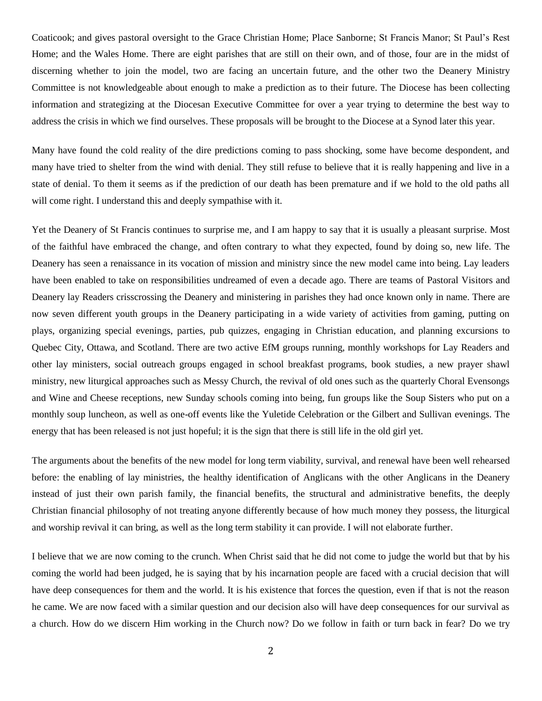Coaticook; and gives pastoral oversight to the Grace Christian Home; Place Sanborne; St Francis Manor; St Paul's Rest Home; and the Wales Home. There are eight parishes that are still on their own, and of those, four are in the midst of discerning whether to join the model, two are facing an uncertain future, and the other two the Deanery Ministry Committee is not knowledgeable about enough to make a prediction as to their future. The Diocese has been collecting information and strategizing at the Diocesan Executive Committee for over a year trying to determine the best way to address the crisis in which we find ourselves. These proposals will be brought to the Diocese at a Synod later this year.

Many have found the cold reality of the dire predictions coming to pass shocking, some have become despondent, and many have tried to shelter from the wind with denial. They still refuse to believe that it is really happening and live in a state of denial. To them it seems as if the prediction of our death has been premature and if we hold to the old paths all will come right. I understand this and deeply sympathise with it.

Yet the Deanery of St Francis continues to surprise me, and I am happy to say that it is usually a pleasant surprise. Most of the faithful have embraced the change, and often contrary to what they expected, found by doing so, new life. The Deanery has seen a renaissance in its vocation of mission and ministry since the new model came into being. Lay leaders have been enabled to take on responsibilities undreamed of even a decade ago. There are teams of Pastoral Visitors and Deanery lay Readers crisscrossing the Deanery and ministering in parishes they had once known only in name. There are now seven different youth groups in the Deanery participating in a wide variety of activities from gaming, putting on plays, organizing special evenings, parties, pub quizzes, engaging in Christian education, and planning excursions to Quebec City, Ottawa, and Scotland. There are two active EfM groups running, monthly workshops for Lay Readers and other lay ministers, social outreach groups engaged in school breakfast programs, book studies, a new prayer shawl ministry, new liturgical approaches such as Messy Church, the revival of old ones such as the quarterly Choral Evensongs and Wine and Cheese receptions, new Sunday schools coming into being, fun groups like the Soup Sisters who put on a monthly soup luncheon, as well as one-off events like the Yuletide Celebration or the Gilbert and Sullivan evenings. The energy that has been released is not just hopeful; it is the sign that there is still life in the old girl yet.

The arguments about the benefits of the new model for long term viability, survival, and renewal have been well rehearsed before: the enabling of lay ministries, the healthy identification of Anglicans with the other Anglicans in the Deanery instead of just their own parish family, the financial benefits, the structural and administrative benefits, the deeply Christian financial philosophy of not treating anyone differently because of how much money they possess, the liturgical and worship revival it can bring, as well as the long term stability it can provide. I will not elaborate further.

I believe that we are now coming to the crunch. When Christ said that he did not come to judge the world but that by his coming the world had been judged, he is saying that by his incarnation people are faced with a crucial decision that will have deep consequences for them and the world. It is his existence that forces the question, even if that is not the reason he came. We are now faced with a similar question and our decision also will have deep consequences for our survival as a church. How do we discern Him working in the Church now? Do we follow in faith or turn back in fear? Do we try